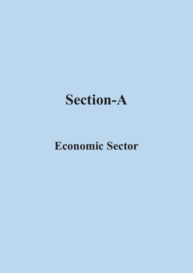

### **Economic Sector**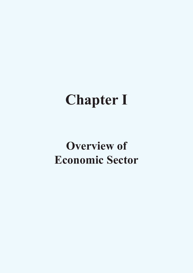# **Chapter I**

## **Overview of Economic Sector**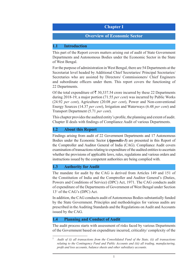#### **Chapter I**

#### **Overview of Economic Sector**

#### **1.1 Introduction**

This part of the Report covers matters arising out of audit of State Government Departments and Autonomous Bodies under the Economic Sector in the State of West Bengal.

For the purpose of administration in West Bengal, there are 54 Departments at the Secretariat level headed by Additional Chief Secretaries/ Principal Secretaries/ Secretaries who are assisted by Directors/ Commissioners/ Chief Engineers and subordinate officers under them. This report covers the functioning of 22 Departments.

Of the total expenditure of  $\bar{\tau}$  30,337.54 crore incurred by these 22 Departments during 2018-19, a major portion (71.55 *per cent*) was incurred by Public Works (24.92 *per cent*), Agriculture (20.08 *per cent*), Power and Non-conventional Energy Sources (14.37 *per cent*), Irrigation and Waterways (6.48 *per cent*) and Transport Department (5.71 *per cent*).

This chapter provides the audited entity's profile, the planning and extent of audit. Chapter II deals with findings of Compliance Audit of various Departments.

#### **1.2 About this Report**

Findings arising from audit of 22 Government Departments and 17 Autonomous Bodies under the Economic Sector **(***Appendix-1***)** are presented in this Report of the Comptroller and Auditor General of India (CAG). Compliance Audit covers examination of transactions relating to expenditure of the audited entities to ascertain whether the provisions of applicable laws, rules, regulations and various orders and instructions issued by the competent authorities are being complied with.

#### **1.3 Authority for Audit**

The mandate for audit by the CAG is derived from Articles 149 and 151 of the Constitution of India and the Comptroller and Auditor General's (Duties, Powers and Conditions of Service) (DPC) Act, 1971. The CAG conducts audit of expenditure of the Departments of Government of West Bengal under Section 131 of the CAG's (DPC) Act.

In addition, the CAG conducts audit of Autonomous Bodies substantially funded by the State Government. Principles and methodologies for various audits are prescribed in the Auditing Standards and the Regulations on Audit and Accounts issued by the CAG.

#### **1.4 Planning and Conduct of Audit**

The audit process starts with assessment of risks faced by various Departments of the Government based on expenditure incurred, criticality/ complexity of the

<sup>1</sup> *Audit of (i) all transactions from the Consolidated Fund of the State, (ii) all transactions relating to the Contingency Fund and Public Accounts and (iii) all trading, manufacturing, profit and loss accounts, balance sheets and other subsidiary accounts.*